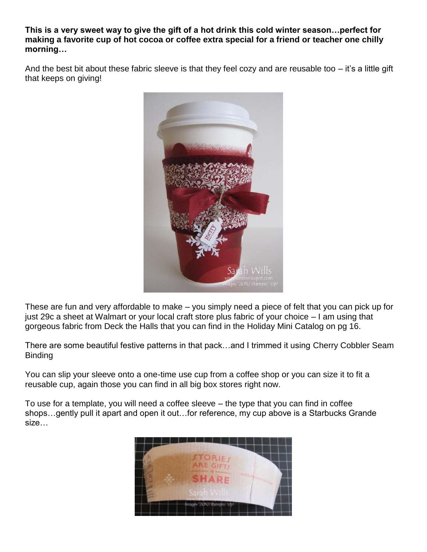**This is a very sweet way to give the gift of a hot drink this cold winter season…perfect for making a favorite cup of hot cocoa or coffee extra special for a friend or teacher one chilly morning…**

And the best bit about these fabric sleeve is that they feel cozy and are reusable too – it's a little gift that keeps on giving!



These are fun and very affordable to make – you simply need a piece of felt that you can pick up for just 29c a sheet at Walmart or your local craft store plus fabric of your choice – I am using that gorgeous fabric from Deck the Halls that you can find in the Holiday Mini Catalog on pg 16.

There are some beautiful festive patterns in that pack…and I trimmed it using Cherry Cobbler Seam Binding

You can slip your sleeve onto a one-time use cup from a coffee shop or you can size it to fit a reusable cup, again those you can find in all big box stores right now.

To use for a template, you will need a coffee sleeve – the type that you can find in coffee shops…gently pull it apart and open it out…for reference, my cup above is a Starbucks Grande size…

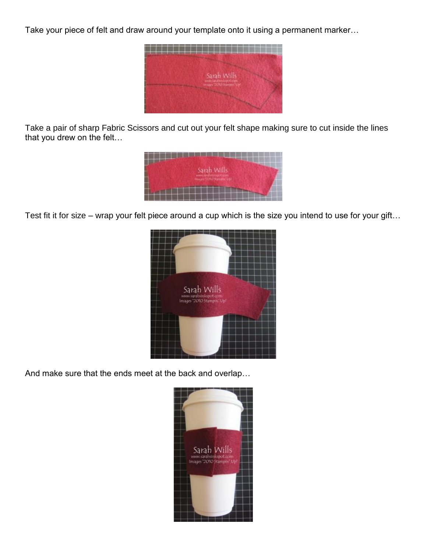Take your piece of felt and draw around your template onto it using a permanent marker…



Take a pair of sharp Fabric Scissors and cut out your felt shape making sure to cut inside the lines that you drew on the felt…



Test fit it for size – wrap your felt piece around a cup which is the size you intend to use for your gift…



And make sure that the ends meet at the back and overlap…

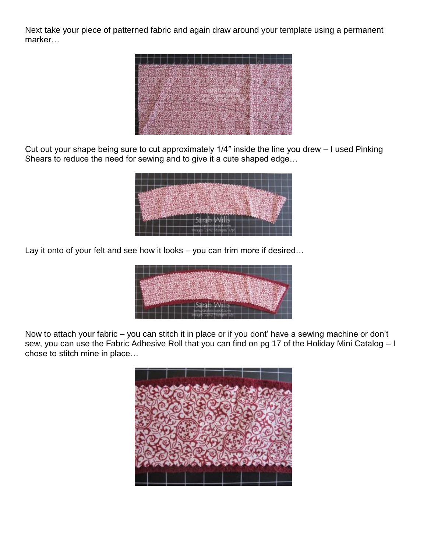Next take your piece of patterned fabric and again draw around your template using a permanent marker…



Cut out your shape being sure to cut approximately 1/4″ inside the line you drew – I used Pinking Shears to reduce the need for sewing and to give it a cute shaped edge…



Lay it onto of your felt and see how it looks – you can trim more if desired...



Now to attach your fabric – you can stitch it in place or if you dont' have a sewing machine or don't sew, you can use the Fabric Adhesive Roll that you can find on pg 17 of the Holiday Mini Catalog – I chose to stitch mine in place…

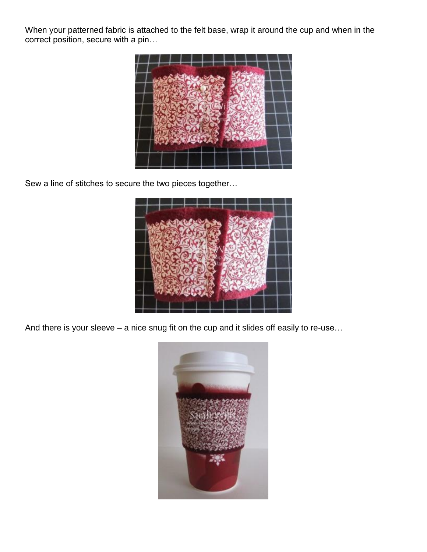When your patterned fabric is attached to the felt base, wrap it around the cup and when in the correct position, secure with a pin…



Sew a line of stitches to secure the two pieces together…



And there is your sleeve – a nice snug fit on the cup and it slides off easily to re-use…